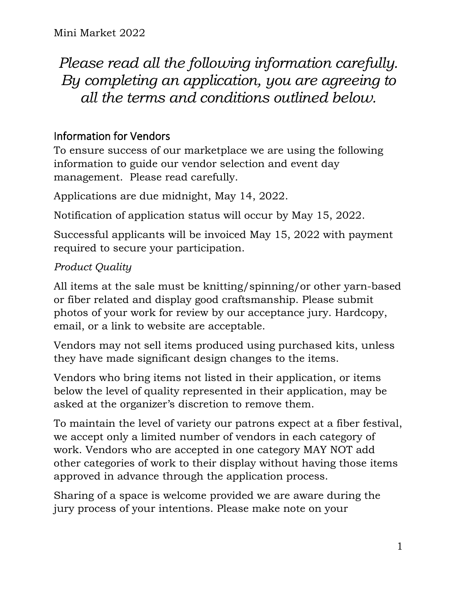*Please read all the following information carefully. By completing an application, you are agreeing to all the terms and conditions outlined below.*

# Information for Vendors

To ensure success of our marketplace we are using the following information to guide our vendor selection and event day management. Please read carefully.

Applications are due midnight, May 14, 2022.

Notification of application status will occur by May 15, 2022.

Successful applicants will be invoiced May 15, 2022 with payment required to secure your participation.

## *Product Quality*

All items at the sale must be knitting/spinning/or other yarn-based or fiber related and display good craftsmanship. Please submit photos of your work for review by our acceptance jury. Hardcopy, email, or a link to website are acceptable.

Vendors may not sell items produced using purchased kits, unless they have made significant design changes to the items.

Vendors who bring items not listed in their application, or items below the level of quality represented in their application, may be asked at the organizer's discretion to remove them.

To maintain the level of variety our patrons expect at a fiber festival, we accept only a limited number of vendors in each category of work. Vendors who are accepted in one category MAY NOT add other categories of work to their display without having those items approved in advance through the application process.

Sharing of a space is welcome provided we are aware during the jury process of your intentions. Please make note on your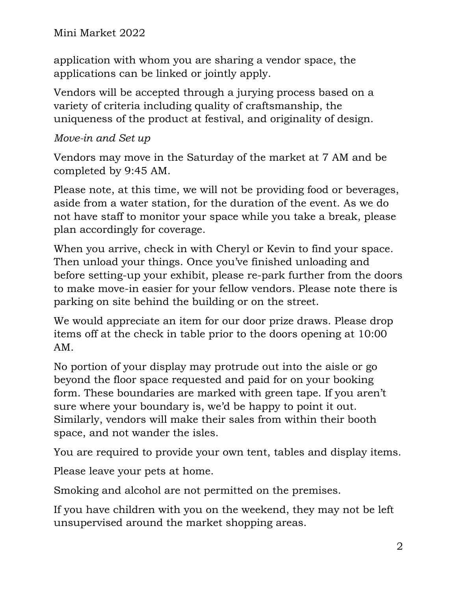Mini Market 2022

application with whom you are sharing a vendor space, the applications can be linked or jointly apply.

Vendors will be accepted through a jurying process based on a variety of criteria including quality of craftsmanship, the uniqueness of the product at festival, and originality of design.

#### *Move-in and Set up*

Vendors may move in the Saturday of the market at 7 AM and be completed by 9:45 AM.

Please note, at this time, we will not be providing food or beverages, aside from a water station, for the duration of the event. As we do not have staff to monitor your space while you take a break, please plan accordingly for coverage.

When you arrive, check in with Cheryl or Kevin to find your space. Then unload your things. Once you've finished unloading and before setting-up your exhibit, please re-park further from the doors to make move-in easier for your fellow vendors. Please note there is parking on site behind the building or on the street.

We would appreciate an item for our door prize draws. Please drop items off at the check in table prior to the doors opening at 10:00 AM.

No portion of your display may protrude out into the aisle or go beyond the floor space requested and paid for on your booking form. These boundaries are marked with green tape. If you aren't sure where your boundary is, we'd be happy to point it out. Similarly, vendors will make their sales from within their booth space, and not wander the isles.

You are required to provide your own tent, tables and display items.

Please leave your pets at home.

Smoking and alcohol are not permitted on the premises.

If you have children with you on the weekend, they may not be left unsupervised around the market shopping areas.